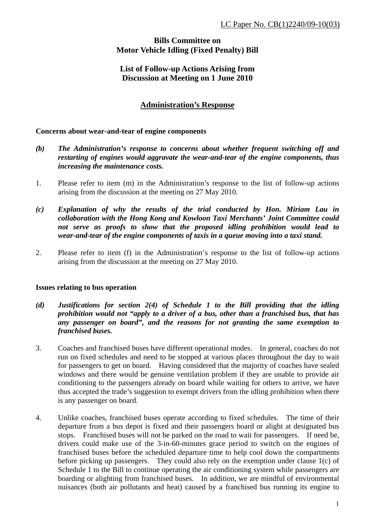# **Bills Committee on Motor Vehicle Idling (Fixed Penalty) Bill**

## **List of Follow-up Actions Arising from Discussion at Meeting on 1 June 2010**

## **Administration's Response**

### **Concerns about wear-and-tear of engine components**

- *(b) The Administration's response to concerns about whether frequent switching off and restarting of engines would aggravate the wear-and-tear of the engine components, thus increasing the maintenance costs.*
- 1. Please refer to item (m) in the Administration's response to the list of follow-up actions arising from the discussion at the meeting on 27 May 2010.
- *(c) Explanation of why the results of the trial conducted by Hon. Miriam Lau in collaboration with the Hong Kong and Kowloon Taxi Merchants' Joint Committee could not serve as proofs to show that the proposed idling prohibition would lead to wear-and-tear of the engine components of taxis in a queue moving into a taxi stand.*
- 2. Please refer to item (f) in the Administration's response to the list of follow-up actions arising from the discussion at the meeting on 27 May 2010.

#### **Issues relating to bus operation**

- *(d) Justifications for section 2(4) of Schedule 1 to the Bill providing that the idling prohibition would not "apply to a driver of a bus, other than a franchised bus, that has any passenger on board", and the reasons for not granting the same exemption to franchised buses.*
- 3. Coaches and franchised buses have different operational modes. In general, coaches do not run on fixed schedules and need to be stopped at various places throughout the day to wait for passengers to get on board. Having considered that the majority of coaches have sealed windows and there would be genuine ventilation problem if they are unable to provide air conditioning to the passengers already on board while waiting for others to arrive, we have thus accepted the trade's suggestion to exempt drivers from the idling prohibition when there is any passenger on board.
- 4. Unlike coaches, franchised buses operate according to fixed schedules. The time of their departure from a bus depot is fixed and their passengers board or alight at designated bus stops. Franchised buses will not be parked on the road to wait for passengers. If need be, drivers could make use of the 3-in-60-minutes grace period to switch on the engines of franchised buses before the scheduled departure time to help cool down the compartments before picking up passengers. They could also rely on the exemption under clause 1(c) of Schedule 1 to the Bill to continue operating the air conditioning system while passengers are boarding or alighting from franchised buses. In addition, we are mindful of environmental nuisances (both air pollutants and heat) caused by a franchised bus running its engine to